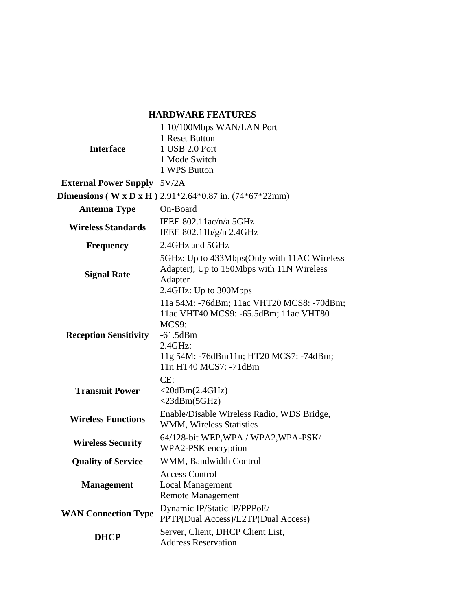## **HARDWARE FEATURES**

|                                                                 | 1 10/100Mbps WAN/LAN Port                   |  |
|-----------------------------------------------------------------|---------------------------------------------|--|
| <b>Interface</b>                                                | 1 Reset Button                              |  |
|                                                                 | 1 USB 2.0 Port                              |  |
|                                                                 | 1 Mode Switch                               |  |
|                                                                 | 1 WPS Button                                |  |
| <b>External Power Supply 5V/2A</b>                              |                                             |  |
| <b>Dimensions (W x D x H)</b> 2.91*2.64*0.87 in. $(74*67*22mm)$ |                                             |  |
| <b>Antenna Type</b>                                             | On-Board                                    |  |
| <b>Wireless Standards</b>                                       | IEEE $802.11$ ac/n/a 5GHz                   |  |
|                                                                 | IEEE 802.11b/g/n 2.4GHz                     |  |
| <b>Frequency</b>                                                | 2.4GHz and 5GHz                             |  |
|                                                                 | 5GHz: Up to 433Mbps(Only with 11AC Wireless |  |
| <b>Signal Rate</b>                                              | Adapter); Up to 150Mbps with 11N Wireless   |  |
|                                                                 | Adapter                                     |  |
|                                                                 | 2.4GHz: Up to 300Mbps                       |  |
| <b>Reception Sensitivity</b>                                    | 11a 54M: -76dBm; 11ac VHT20 MCS8: -70dBm;   |  |
|                                                                 | 11ac VHT40 MCS9: -65.5dBm; 11ac VHT80       |  |
|                                                                 | MCS9:                                       |  |
|                                                                 | $-61.5$ dBm                                 |  |
|                                                                 | $2.4$ GHz:                                  |  |
|                                                                 | 11g 54M: -76dBm11n; HT20 MCS7: -74dBm;      |  |
|                                                                 | 11n HT40 MCS7: -71dBm                       |  |
| <b>Transmit Power</b>                                           | CE:                                         |  |
|                                                                 | $<$ 20dBm $(2.4GHz)$                        |  |
|                                                                 | $<$ 23dBm(5GHz)                             |  |
| <b>Wireless Functions</b>                                       | Enable/Disable Wireless Radio, WDS Bridge,  |  |
|                                                                 | <b>WMM, Wireless Statistics</b>             |  |
| <b>Wireless Security</b>                                        | 64/128-bit WEP, WPA / WPA2, WPA-PSK/        |  |
|                                                                 | WPA2-PSK encryption                         |  |
| <b>Quality of Service</b>                                       | WMM, Bandwidth Control                      |  |
|                                                                 | <b>Access Control</b>                       |  |
| <b>Management</b>                                               | <b>Local Management</b>                     |  |
|                                                                 | <b>Remote Management</b>                    |  |
| <b>WAN Connection Type</b>                                      | Dynamic IP/Static IP/PPPoE/                 |  |
|                                                                 | PPTP(Dual Access)/L2TP(Dual Access)         |  |
| <b>DHCP</b>                                                     | Server, Client, DHCP Client List,           |  |
|                                                                 | <b>Address Reservation</b>                  |  |